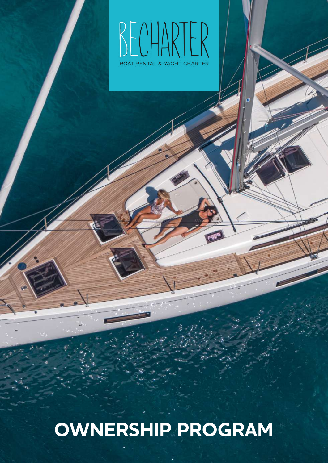

# **OWNERSHIP PROGRAM**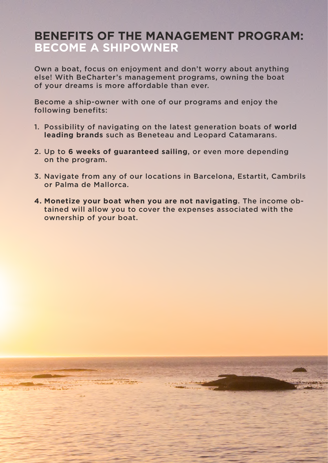### **BENEFITS OF THE MANAGEMENT PROGRAM: BECOME A SHIPOWNER**

Own a boat, focus on enjoyment and don't worry about anything else! With BeCharter's management programs, owning the boat of your dreams is more affordable than ever.

Become a ship-owner with one of our programs and enjoy the following benefits:

- 1. Possibility of navigating on the latest generation boats of **world leading brands** such as Beneteau and Leopard Catamarans.
- 2. Up to **6 weeks of guaranteed sailing**, or even more depending on the program.
- 3. Navigate from any of our locations in Barcelona, Estartit, Cambrils or Palma de Mallorca.
- **4. Monetize your boat when you are not navigating**. The income obtained will allow you to cover the expenses associated with the ownership of your boat.

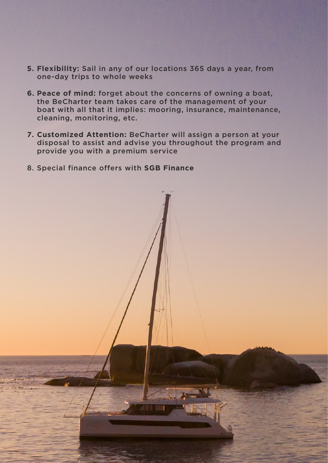- **5. Flexibility:** Sail in any of our locations 365 days a year, from one-day trips to whole weeks
- **6. Peace of mind:** forget about the concerns of owning a boat, the BeCharter team takes care of the management of your boat with all that it implies: mooring, insurance, maintenance, cleaning, monitoring, etc.
- **7. Customized Attention:** BeCharter will assign a person at your disposal to assist and advise you throughout the program and provide you with a premium service
- 8. Special finance offers with **SGB Finance**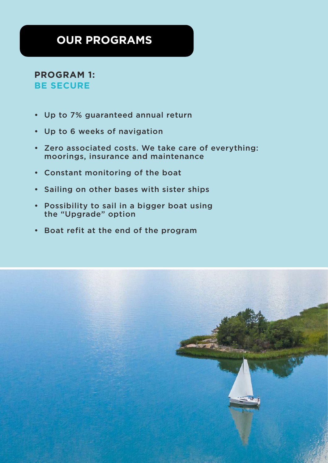## **OUR PROGRAMS**

#### **PROGRAM 1: BE SECURE**

- Up to 7% guaranteed annual return
- Up to 6 weeks of navigation
- Zero associated costs. We take care of everything: moorings, insurance and maintenance
- Constant monitoring of the boat
- Sailing on other bases with sister ships
- Possibility to sail in a bigger boat using the "Upgrade" option
- Boat refit at the end of the program

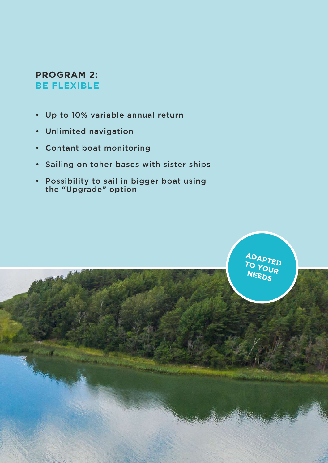#### **PROGRAM 2: BE FLEXIBLE**

- Up to 10% variable annual return
- Unlimited navigation
- Contant boat monitoring
- Sailing on toher bases with sister ships
- Possibility to sail in bigger boat using the "Upgrade" option

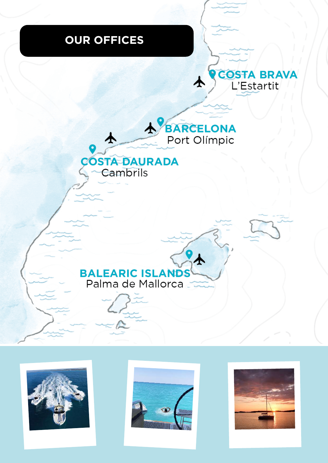## **OUR OFFICES**











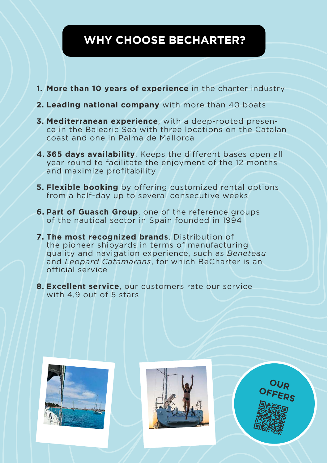## **WHY CHOOSE BECHARTER?**

- **1. More than 10 years of experience** in the charter industry
- **2. Leading national company** with more than 40 boats
- **3. Mediterranean experience**, with a deep-rooted presence in the Balearic Sea with three locations on the Catalan coast and one in Palma de Mallorca
- **4. 365 days availability**. Keeps the different bases open all year round to facilitate the enjoyment of the 12 months and maximize profitability
- **5. Flexible booking** by offering customized rental options from a half-day up to several consecutive weeks
- **6. Part of Guasch Group**, one of the reference groups of the nautical sector in Spain founded in 1994
- **7. The most recognized brands**. Distribution of the pioneer shipyards in terms of manufacturing quality and navigation experience, such as *Beneteau* and *Leopard Catamarans*, for which BeCharter is an official service
- **8. Excellent service**, our customers rate our service with 4,9 out of 5 stars